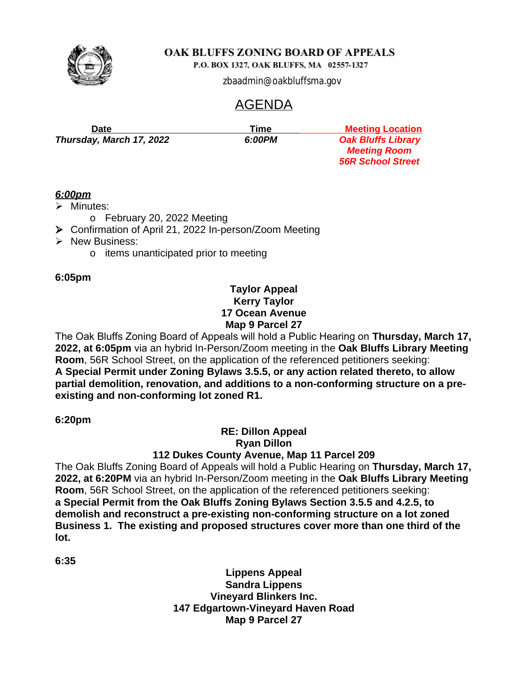

P.O. BOX 1327, OAK BLUFFS, MA 02557-1327

zbaadmin@oakbluffsma.gov

# AGENDA

*Thursday, March 17, 2022 6:00PM Oak Bluffs Library*

**Date** Meeting Location **Time Meeting Location**  *Meeting Room 56R School Street*

## *6:00pm*

- $\triangleright$  Minutes:
	- o February 20, 2022 Meeting
- Confirmation of April 21, 2022 In-person/Zoom Meeting
- $\triangleright$  New Business:
	- o items unanticipated prior to meeting

## **6:05pm**

## **Taylor Appeal Kerry Taylor 17 Ocean Avenue Map 9 Parcel 27**

The Oak Bluffs Zoning Board of Appeals will hold a Public Hearing on **Thursday, March 17, 2022, at 6:05pm** via an hybrid In-Person/Zoom meeting in the **Oak Bluffs Library Meeting Room**, 56R School Street, on the application of the referenced petitioners seeking: **A Special Permit under Zoning Bylaws 3.5.5, or any action related thereto, to allow partial demolition, renovation, and additions to a non-conforming structure on a preexisting and non-conforming lot zoned R1.**

**6:20pm**

## **RE: Dillon Appeal Ryan Dillon**

## **112 Dukes County Avenue, Map 11 Parcel 209**

The Oak Bluffs Zoning Board of Appeals will hold a Public Hearing on **Thursday, March 17, 2022, at 6:20PM** via an hybrid In-Person/Zoom meeting in the **Oak Bluffs Library Meeting Room**, 56R School Street, on the application of the referenced petitioners seeking: **a Special Permit from the Oak Bluffs Zoning Bylaws Section 3.5.5 and 4.2.5, to demolish and reconstruct a pre-existing non-conforming structure on a lot zoned Business 1. The existing and proposed structures cover more than one third of the lot.**

**6:35**

**Lippens Appeal Sandra Lippens Vineyard Blinkers Inc. 147 Edgartown-Vineyard Haven Road Map 9 Parcel 27**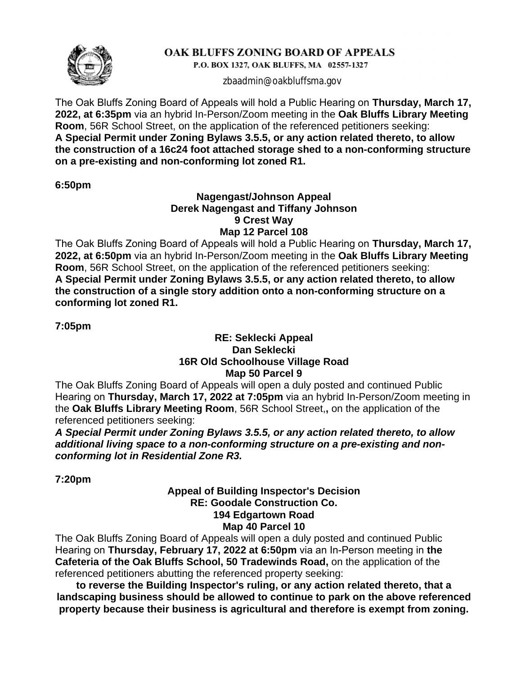

P.O. BOX 1327, OAK BLUFFS, MA 02557-1327

zbaadmin@oakbluffsma.gov

The Oak Bluffs Zoning Board of Appeals will hold a Public Hearing on **Thursday, March 17, 2022, at 6:35pm** via an hybrid In-Person/Zoom meeting in the **Oak Bluffs Library Meeting Room**, 56R School Street, on the application of the referenced petitioners seeking: **A Special Permit under Zoning Bylaws 3.5.5, or any action related thereto, to allow the construction of a 16c24 foot attached storage shed to a non-conforming structure on a pre-existing and non-conforming lot zoned R1.**

**6:50pm**

#### **Nagengast/Johnson Appeal Derek Nagengast and Tiffany Johnson 9 Crest Way Map 12 Parcel 108**

The Oak Bluffs Zoning Board of Appeals will hold a Public Hearing on **Thursday, March 17, 2022, at 6:50pm** via an hybrid In-Person/Zoom meeting in the **Oak Bluffs Library Meeting Room**, 56R School Street, on the application of the referenced petitioners seeking: **A Special Permit under Zoning Bylaws 3.5.5, or any action related thereto, to allow the construction of a single story addition onto a non-conforming structure on a conforming lot zoned R1.**

**7:05pm**

#### **RE: Seklecki Appeal Dan Seklecki 16R Old Schoolhouse Village Road Map 50 Parcel 9**

The Oak Bluffs Zoning Board of Appeals will open a duly posted and continued Public Hearing on **Thursday, March 17, 2022 at 7:05pm** via an hybrid In-Person/Zoom meeting in the **Oak Bluffs Library Meeting Room**, 56R School Street,**,** on the application of the referenced petitioners seeking:

*A Special Permit under Zoning Bylaws 3.5.5, or any action related thereto, to allow additional living space to a non-conforming structure on a pre-existing and nonconforming lot in Residential Zone R3.*

**7:20pm**

#### **Appeal of Building Inspector's Decision RE: Goodale Construction Co. 194 Edgartown Road Map 40 Parcel 10**

The Oak Bluffs Zoning Board of Appeals will open a duly posted and continued Public Hearing on **Thursday, February 17, 2022 at 6:50pm** via an In-Person meeting in **the Cafeteria of the Oak Bluffs School, 50 Tradewinds Road,** on the application of the referenced petitioners abutting the referenced property seeking:

**to reverse the Building Inspector's ruling, or any action related thereto, that a landscaping business should be allowed to continue to park on the above referenced property because their business is agricultural and therefore is exempt from zoning.**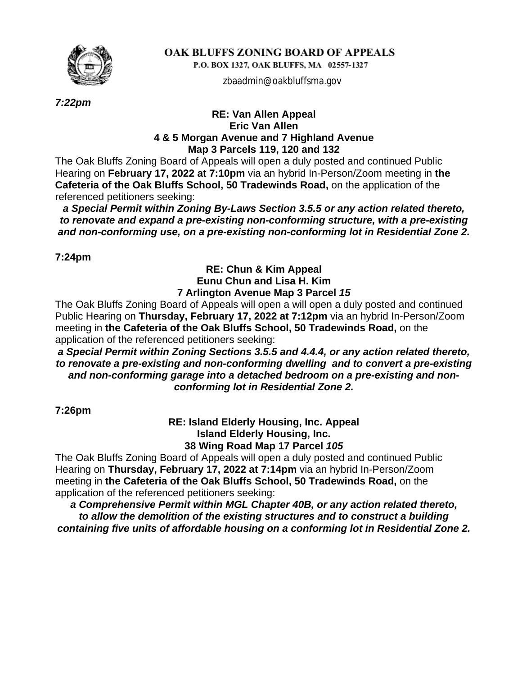

P.O. BOX 1327, OAK BLUFFS, MA 02557-1327

zbaadmin@oakbluffsma.gov

*7:22pm*

#### **RE: Van Allen Appeal Eric Van Allen 4 & 5 Morgan Avenue and 7 Highland Avenue Map 3 Parcels 119, 120 and 132**

The Oak Bluffs Zoning Board of Appeals will open a duly posted and continued Public Hearing on **February 17, 2022 at 7:10pm** via an hybrid In-Person/Zoom meeting in **the Cafeteria of the Oak Bluffs School, 50 Tradewinds Road,** on the application of the referenced petitioners seeking:

*a Special Permit within Zoning By-Laws Section 3.5.5 or any action related thereto, to renovate and expand a pre-existing non-conforming structure, with a pre-existing and non-conforming use, on a pre-existing non-conforming lot in Residential Zone 2.*

**7:24pm**

#### **RE: Chun & Kim Appeal Eunu Chun and Lisa H. Kim 7 Arlington Avenue Map 3 Parcel** *15*

The Oak Bluffs Zoning Board of Appeals will open a will open a duly posted and continued Public Hearing on **Thursday, February 17, 2022 at 7:12pm** via an hybrid In-Person/Zoom meeting in **the Cafeteria of the Oak Bluffs School, 50 Tradewinds Road,** on the application of the referenced petitioners seeking:

*a Special Permit within Zoning Sections 3.5.5 and 4.4.4, or any action related thereto, to renovate a pre-existing and non-conforming dwelling and to convert a pre-existing and non-conforming garage into a detached bedroom on a pre-existing and nonconforming lot in Residential Zone 2.*

**7:26pm**

**RE: Island Elderly Housing, Inc. Appeal Island Elderly Housing, Inc. 38 Wing Road Map 17 Parcel** *105*

The Oak Bluffs Zoning Board of Appeals will open a duly posted and continued Public Hearing on **Thursday, February 17, 2022 at 7:14pm** via an hybrid In-Person/Zoom meeting in **the Cafeteria of the Oak Bluffs School, 50 Tradewinds Road,** on the application of the referenced petitioners seeking:

*a Comprehensive Permit within MGL Chapter 40B, or any action related thereto, to allow the demolition of the existing structures and to construct a building containing five units of affordable housing on a conforming lot in Residential Zone 2.*